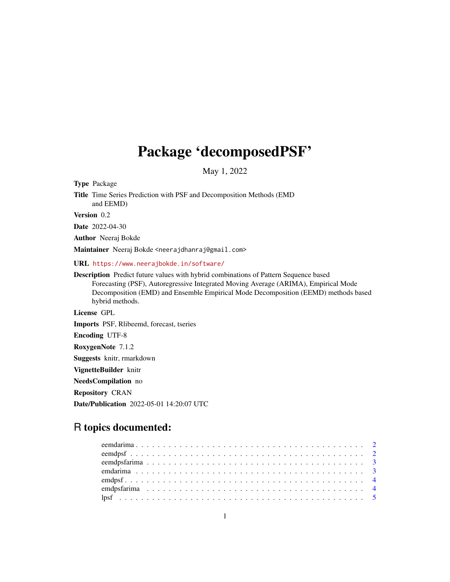## Package 'decomposedPSF'

May 1, 2022

Type Package

Title Time Series Prediction with PSF and Decomposition Methods (EMD and EEMD)

Version 0.2

Date 2022-04-30

Author Neeraj Bokde

Maintainer Neeraj Bokde <neerajdhanraj@gmail.com>

URL <https://www.neerajbokde.in/software/>

Description Predict future values with hybrid combinations of Pattern Sequence based Forecasting (PSF), Autoregressive Integrated Moving Average (ARIMA), Empirical Mode Decomposition (EMD) and Ensemble Empirical Mode Decomposition (EEMD) methods based hybrid methods.

License GPL

Imports PSF, Rlibeemd, forecast, tseries

Encoding UTF-8

RoxygenNote 7.1.2

Suggests knitr, rmarkdown

VignetteBuilder knitr

NeedsCompilation no

Repository CRAN

Date/Publication 2022-05-01 14:20:07 UTC

### R topics documented: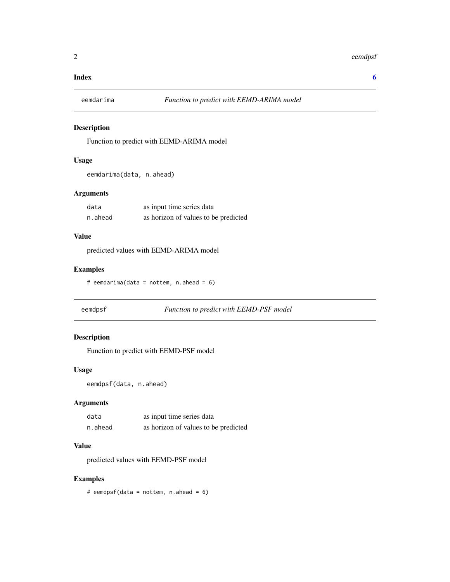#### <span id="page-1-0"></span>**Index** [6](#page-5-0) **6**

#### Description

Function to predict with EEMD-ARIMA model

#### Usage

```
eemdarima(data, n.ahead)
```
#### Arguments

| data    | as input time series data            |
|---------|--------------------------------------|
| n.ahead | as horizon of values to be predicted |

#### Value

predicted values with EEMD-ARIMA model

#### Examples

# eemdarima(data = nottem, n.ahead = 6)

eemdpsf *Function to predict with EEMD-PSF model*

#### Description

Function to predict with EEMD-PSF model

#### Usage

```
eemdpsf(data, n.ahead)
```
#### Arguments

| data    | as input time series data            |
|---------|--------------------------------------|
| n.ahead | as horizon of values to be predicted |

#### Value

predicted values with EEMD-PSF model

#### Examples

# eemdpsf(data = nottem, n.ahead = 6)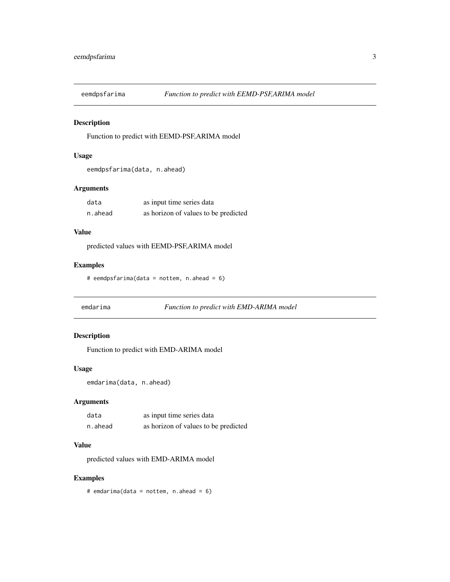<span id="page-2-0"></span>

#### Description

Function to predict with EEMD-PSF,ARIMA model

#### Usage

```
eemdpsfarima(data, n.ahead)
```
#### Arguments

| data    | as input time series data            |
|---------|--------------------------------------|
| n.ahead | as horizon of values to be predicted |

#### Value

predicted values with EEMD-PSF,ARIMA model

#### Examples

# eemdpsfarima(data = nottem, n.ahead = 6)

emdarima *Function to predict with EMD-ARIMA model*

#### Description

Function to predict with EMD-ARIMA model

#### Usage

```
emdarima(data, n.ahead)
```
#### Arguments

| data    | as input time series data            |
|---------|--------------------------------------|
| n.ahead | as horizon of values to be predicted |

#### Value

predicted values with EMD-ARIMA model

#### Examples

# emdarima(data = nottem, n.ahead =  $6$ )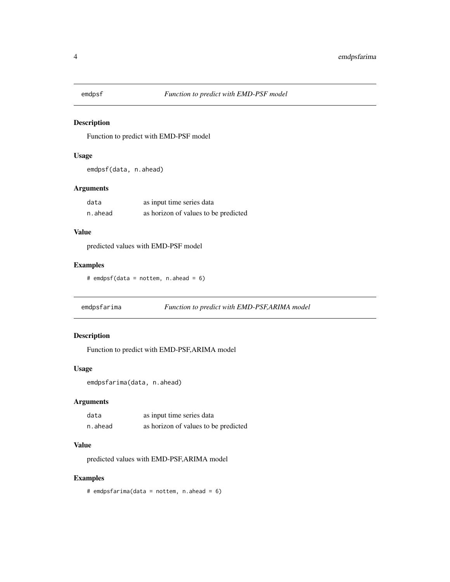<span id="page-3-0"></span>

#### Description

Function to predict with EMD-PSF model

#### Usage

emdpsf(data, n.ahead)

#### Arguments

| data    | as input time series data            |
|---------|--------------------------------------|
| n.ahead | as horizon of values to be predicted |

#### Value

predicted values with EMD-PSF model

#### Examples

# emdpsf(data = nottem, n.ahead = 6)

emdpsfarima *Function to predict with EMD-PSF,ARIMA model*

#### Description

Function to predict with EMD-PSF,ARIMA model

#### Usage

```
emdpsfarima(data, n.ahead)
```
#### Arguments

| data    | as input time series data            |
|---------|--------------------------------------|
| n.ahead | as horizon of values to be predicted |

#### Value

predicted values with EMD-PSF,ARIMA model

#### Examples

# emdpsfarima(data = nottem, n.ahead = 6)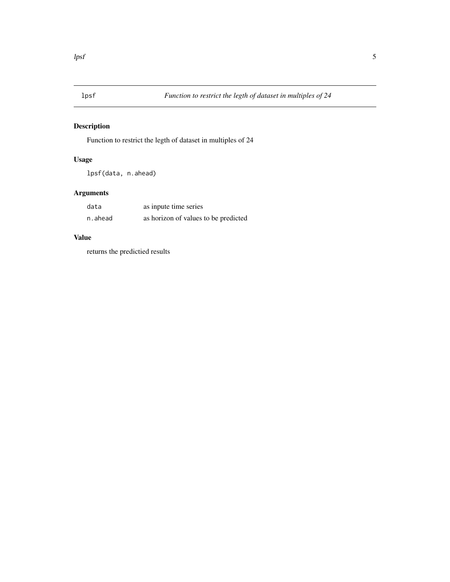<span id="page-4-0"></span>

#### Description

Function to restrict the legth of dataset in multiples of 24

#### Usage

lpsf(data, n.ahead)

#### Arguments

| data    | as inpute time series                |
|---------|--------------------------------------|
| n.ahead | as horizon of values to be predicted |

#### Value

returns the predictied results